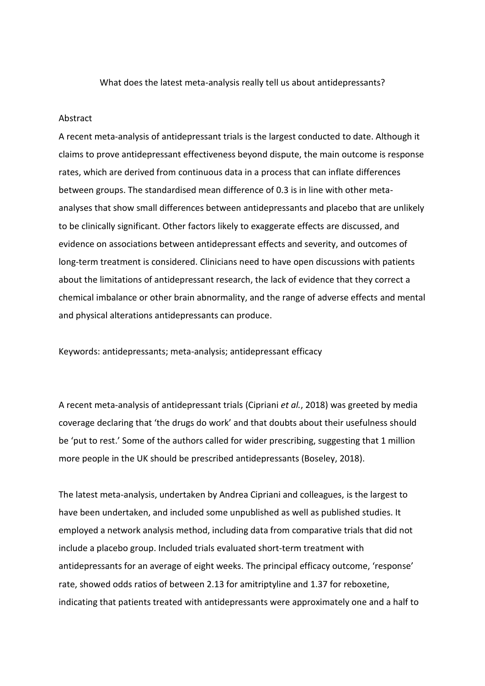What does the latest meta-analysis really tell us about antidepressants?

## Abstract

A recent meta-analysis of antidepressant trials is the largest conducted to date. Although it claims to prove antidepressant effectiveness beyond dispute, the main outcome is response rates, which are derived from continuous data in a process that can inflate differences between groups. The standardised mean difference of 0.3 is in line with other metaanalyses that show small differences between antidepressants and placebo that are unlikely to be clinically significant. Other factors likely to exaggerate effects are discussed, and evidence on associations between antidepressant effects and severity, and outcomes of long-term treatment is considered. Clinicians need to have open discussions with patients about the limitations of antidepressant research, the lack of evidence that they correct a chemical imbalance or other brain abnormality, and the range of adverse effects and mental and physical alterations antidepressants can produce.

Keywords: antidepressants; meta-analysis; antidepressant efficacy

A recent meta-analysis of antidepressant trials (Cipriani *et al.*, 2018) was greeted by media coverage declaring that 'the drugs do work' and that doubts about their usefulness should be 'put to rest.' Some of the authors called for wider prescribing, suggesting that 1 million more people in the UK should be prescribed antidepressants (Boseley, 2018).

The latest meta-analysis, undertaken by Andrea Cipriani and colleagues, is the largest to have been undertaken, and included some unpublished as well as published studies. It employed a network analysis method, including data from comparative trials that did not include a placebo group. Included trials evaluated short-term treatment with antidepressants for an average of eight weeks. The principal efficacy outcome, 'response' rate, showed odds ratios of between 2.13 for amitriptyline and 1.37 for reboxetine, indicating that patients treated with antidepressants were approximately one and a half to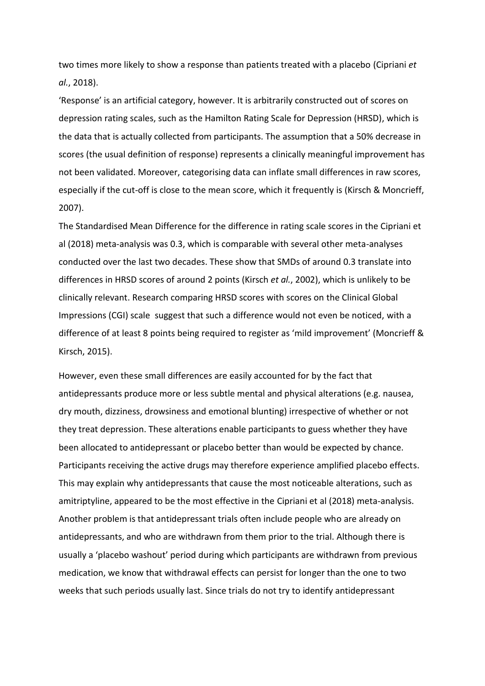two times more likely to show a response than patients treated with a placebo (Cipriani *et al.*, 2018).

'Response' is an artificial category, however. It is arbitrarily constructed out of scores on depression rating scales, such as the Hamilton Rating Scale for Depression (HRSD), which is the data that is actually collected from participants. The assumption that a 50% decrease in scores (the usual definition of response) represents a clinically meaningful improvement has not been validated. Moreover, categorising data can inflate small differences in raw scores, especially if the cut-off is close to the mean score, which it frequently is (Kirsch & Moncrieff, 2007).

The Standardised Mean Difference for the difference in rating scale scores in the Cipriani et al (2018) meta-analysis was 0.3, which is comparable with several other meta-analyses conducted over the last two decades. These show that SMDs of around 0.3 translate into differences in HRSD scores of around 2 points (Kirsch *et al.*, 2002), which is unlikely to be clinically relevant. Research comparing HRSD scores with scores on the Clinical Global Impressions (CGI) scale suggest that such a difference would not even be noticed, with a difference of at least 8 points being required to register as 'mild improvement' (Moncrieff & Kirsch, 2015).

However, even these small differences are easily accounted for by the fact that antidepressants produce more or less subtle mental and physical alterations (e.g. nausea, dry mouth, dizziness, drowsiness and emotional blunting) irrespective of whether or not they treat depression. These alterations enable participants to guess whether they have been allocated to antidepressant or placebo better than would be expected by chance. Participants receiving the active drugs may therefore experience amplified placebo effects. This may explain why antidepressants that cause the most noticeable alterations, such as amitriptyline, appeared to be the most effective in the Cipriani et al (2018) meta-analysis. Another problem is that antidepressant trials often include people who are already on antidepressants, and who are withdrawn from them prior to the trial. Although there is usually a 'placebo washout' period during which participants are withdrawn from previous medication, we know that withdrawal effects can persist for longer than the one to two weeks that such periods usually last. Since trials do not try to identify antidepressant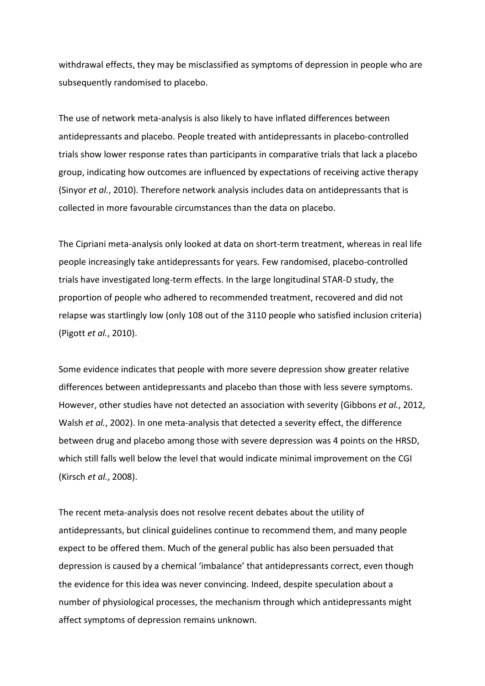withdrawal effects, they may be misclassified as symptoms of depression in people who are subsequently randomised to placebo.

The use of network meta-analysis is also likely to have inflated differences between antidepressants and placebo. People treated with antidepressants in placebo-controlled trials show lower response rates than participants in comparative trials that lack a placebo group, indicating how outcomes are influenced by expectations of receiving active therapy (Sinyor *et al.*, 2010). Therefore network analysis includes data on antidepressants that is collected in more favourable circumstances than the data on placebo.

The Cipriani meta-analysis only looked at data on short-term treatment, whereas in real life people increasingly take antidepressants for years. Few randomised, placebo-controlled trials have investigated long-term effects. In the large longitudinal STAR-D study, the proportion of people who adhered to recommended treatment, recovered and did not relapse was startlingly low (only 108 out of the 3110 people who satisfied inclusion criteria) (Pigott *et al.*, 2010).

Some evidence indicates that people with more severe depression show greater relative differences between antidepressants and placebo than those with less severe symptoms. However, other studies have not detected an association with severity (Gibbons *et al.*, 2012, Walsh *et al.*, 2002). In one meta-analysis that detected a severity effect, the difference between drug and placebo among those with severe depression was 4 points on the HRSD, which still falls well below the level that would indicate minimal improvement on the CGI (Kirsch *et al.*, 2008).

The recent meta-analysis does not resolve recent debates about the utility of antidepressants, but clinical guidelines continue to recommend them, and many people expect to be offered them. Much of the general public has also been persuaded that depression is caused by a chemical 'imbalance' that antidepressants correct, even though the evidence for this idea was never convincing. Indeed, despite speculation about a number of physiological processes, the mechanism through which antidepressants might affect symptoms of depression remains unknown.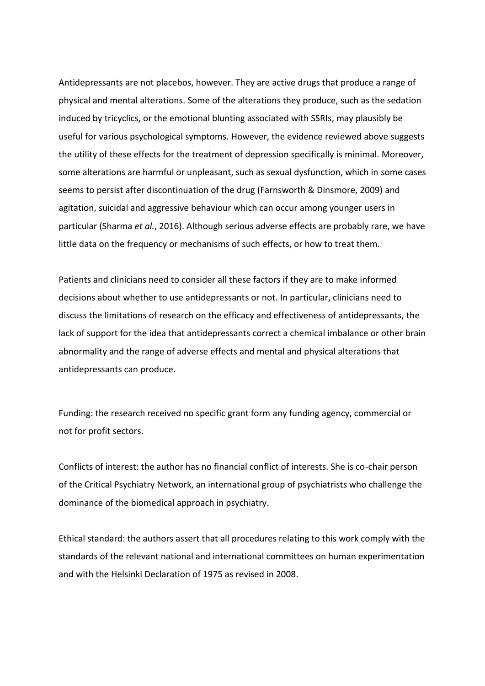Antidepressants are not placebos, however. They are active drugs that produce a range of physical and mental alterations. Some of the alterations they produce, such as the sedation induced by tricyclics, or the emotional blunting associated with SSRIs, may plausibly be useful for various psychological symptoms. However, the evidence reviewed above suggests the utility of these effects for the treatment of depression specifically is minimal. Moreover, some alterations are harmful or unpleasant, such as sexual dysfunction, which in some cases seems to persist after discontinuation of the drug (Farnsworth & Dinsmore, 2009) and agitation, suicidal and aggressive behaviour which can occur among younger users in particular (Sharma *et al.*, 2016). Although serious adverse effects are probably rare, we have little data on the frequency or mechanisms of such effects, or how to treat them.

Patients and clinicians need to consider all these factors if they are to make informed decisions about whether to use antidepressants or not. In particular, clinicians need to discuss the limitations of research on the efficacy and effectiveness of antidepressants, the lack of support for the idea that antidepressants correct a chemical imbalance or other brain abnormality and the range of adverse effects and mental and physical alterations that antidepressants can produce.

Funding: the research received no specific grant form any funding agency, commercial or not for profit sectors.

Conflicts of interest: the author has no financial conflict of interests. She is co-chair person of the Critical Psychiatry Network, an international group of psychiatrists who challenge the dominance of the biomedical approach in psychiatry.

Ethical standard: the authors assert that all procedures relating to this work comply with the standards of the relevant national and international committees on human experimentation and with the Helsinki Declaration of 1975 as revised in 2008.